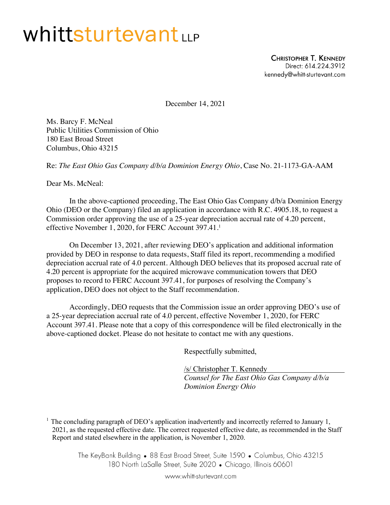## Whittsturtevantur

**CHRISTOPHER T. KENNEDY** Direct: 614.224.3912 kennedy@whitt-sturtevant.com

December 14, 2021

Ms. Barcy F. McNeal Public Utilities Commission of Ohio 180 East Broad Street Columbus, Ohio 43215

Re: *The East Ohio Gas Company d/b/a Dominion Energy Ohio*, Case No. 21-1173-GA-AAM

Dear Ms. McNeal:

In the above-captioned proceeding, The East Ohio Gas Company d/b/a Dominion Energy Ohio (DEO or the Company) filed an application in accordance with R.C. 4905.18, to request a Commission order approving the use of a 25-year depreciation accrual rate of 4.20 percent, effective November 1, 2020, for FERC Account 397.41.<sup>1</sup>

On December 13, 2021, after reviewing DEO's application and additional information provided by DEO in response to data requests, Staff filed its report, recommending a modified depreciation accrual rate of 4.0 percent. Although DEO believes that its proposed accrual rate of 4.20 percent is appropriate for the acquired microwave communication towers that DEO proposes to record to FERC Account 397.41, for purposes of resolving the Company's application, DEO does not object to the Staff recommendation.

Accordingly, DEO requests that the Commission issue an order approving DEO's use of a 25-year depreciation accrual rate of 4.0 percent, effective November 1, 2020, for FERC Account 397.41. Please note that a copy of this correspondence will be filed electronically in the above-captioned docket. Please do not hesitate to contact me with any questions.

Respectfully submitted,

/s/ Christopher T. Kennedy *Counsel for The East Ohio Gas Company d/b/a Dominion Energy Ohio*

<sup>1</sup> The concluding paragraph of DEO's application inadvertently and incorrectly referred to January 1, 2021, as the requested effective date. The correct requested effective date, as recommended in the Staff Report and stated elsewhere in the application, is November 1, 2020.

> The KeyBank Building • 88 East Broad Street, Suite 1590 • Columbus, Ohio 43215 180 North LaSalle Street, Suite 2020 • Chicago, Illinois 60601

> > www.whitt-sturtevant.com